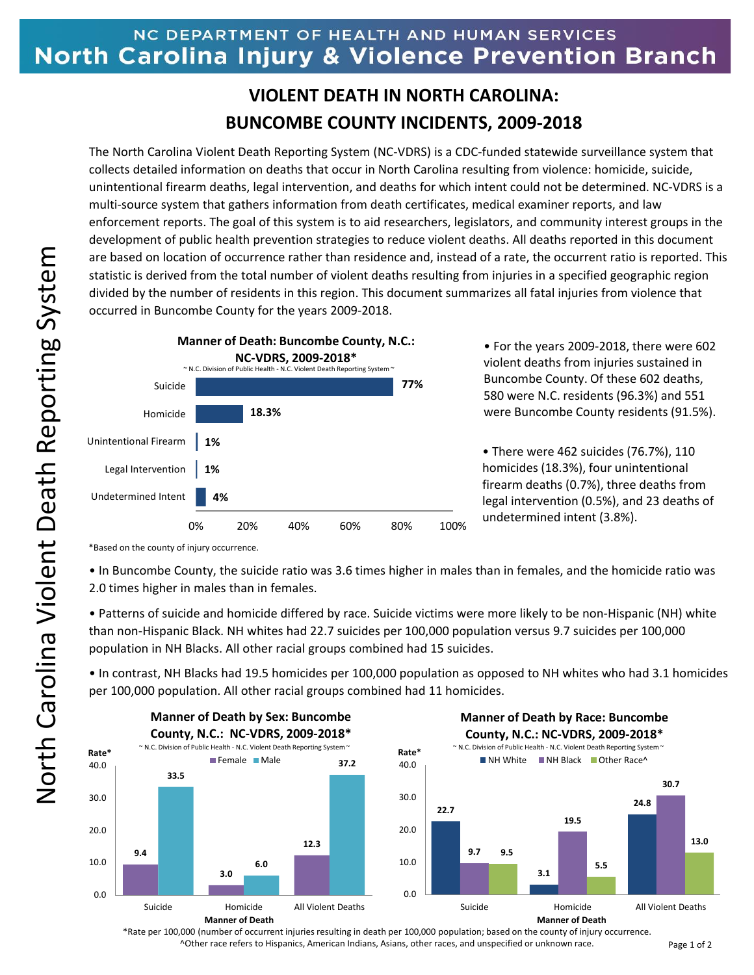## NC DEPARTMENT OF HEALTH AND HUMAN SERVICES North Carolina Injury & Violence Prevention Branch

## **VIOLENT DEATH IN NORTH CAROLINA: BUNCOMBE COUNTY INCIDENTS, 2009-2018**

The North Carolina Violent Death Reporting System (NC-VDRS) is a CDC-funded statewide surveillance system that collects detailed information on deaths that occur in North Carolina resulting from violence: homicide, suicide, unintentional firearm deaths, legal intervention, and deaths for which intent could not be determined. NC-VDRS is a multi-source system that gathers information from death certificates, medical examiner reports, and law enforcement reports. The goal of this system is to aid researchers, legislators, and community interest groups in the development of public health prevention strategies to reduce violent deaths. All deaths reported in this document are based on location of occurrence rather than residence and, instead of a rate, the occurrent ratio is reported. This statistic is derived from the total number of violent deaths resulting from injuries in a specified geographic region divided by the number of residents in this region. This document summarizes all fatal injuries from violence that occurred in Buncombe County for the years 2009-2018.



• For the years 2009-2018, there were 602 violent deaths from injuries sustained in Buncombe County. Of these 602 deaths, 580 were N.C. residents (96.3%) and 551 were Buncombe County residents (91.5%).

• There were 462 suicides (76.7%), 110 homicides (18.3%), four unintentional firearm deaths (0.7%), three deaths from legal intervention (0.5%), and 23 deaths of undetermined intent (3.8%).

\*Based on the county of injury occurrence.

• In Buncombe County, the suicide ratio was 3.6 times higher in males than in females, and the homicide ratio was 2.0 times higher in males than in females.

• Patterns of suicide and homicide differed by race. Suicide victims were more likely to be non-Hispanic (NH) white than non-Hispanic Black. NH whites had 22.7 suicides per 100,000 population versus 9.7 suicides per 100,000 population in NH Blacks. All other racial groups combined had 15 suicides.

• In contrast, NH Blacks had 19.5 homicides per 100,000 population as opposed to NH whites who had 3.1 homicides per 100,000 population. All other racial groups combined had 11 homicides.



\*Rate per 100,000 (number of occurrent injuries resulting in death per 100,000 population; based on the county of injury occurrence. ^Other race refers to Hispanics, American Indians, Asians, other races, and unspecified or unknown race.